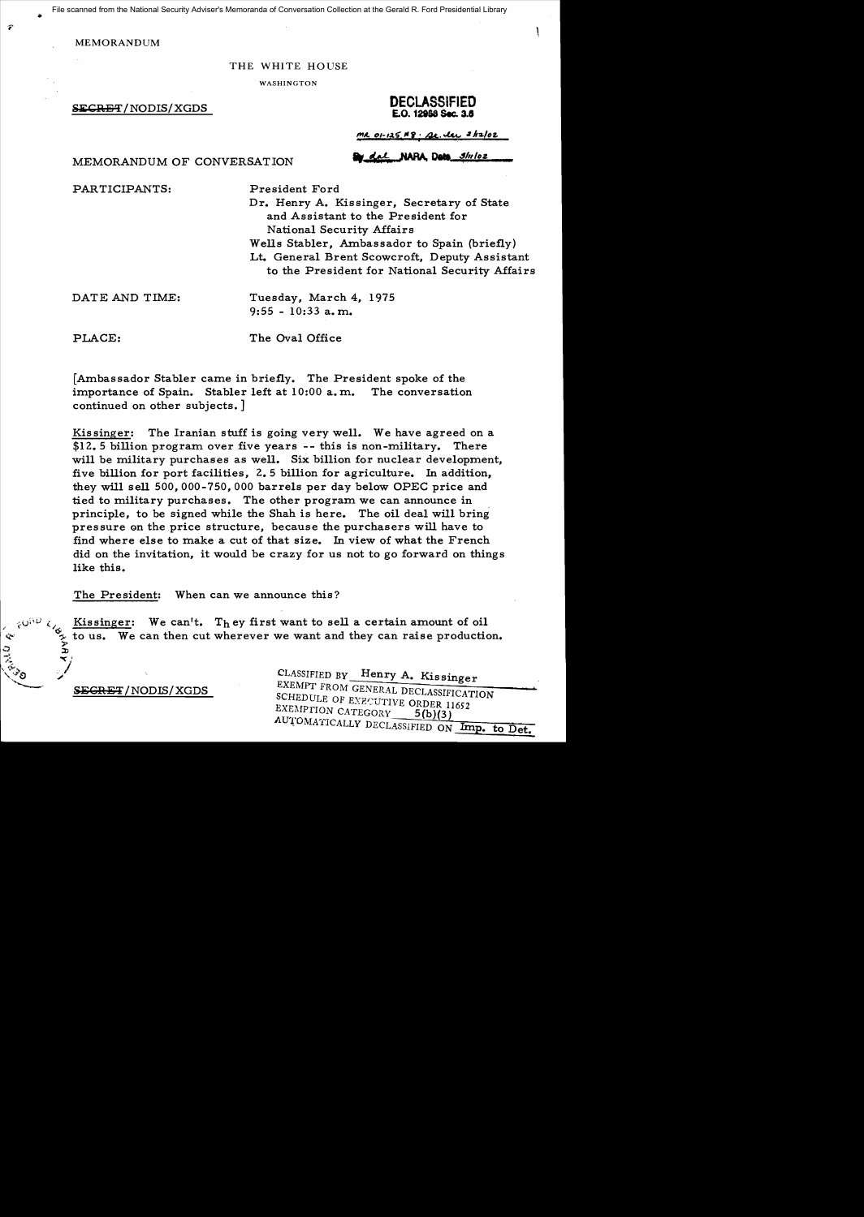File scanned from the National Security Adviser's Memoranda of Conversation Collection at the Gerald R. Ford Presidential Library

**MEMORANDUM** 

#### THE WHITE HOUSE

WASHINGTON

#### **SECRET**/NODIS/XGDS **DECLASSIFIED E.O. 12868 Sec. 3.5**

 $MLO1-125.48.2c.1c.2h2/c2$ 

MEMORANDUM OF CONVERSATION **by dat NAPA, Dete** ships

PARTICIPANTS:

President Ford

Dr. Henry A. Kissinger, Secretary of State and Assistant to the President for National Security Affairs Wells Stabler, Ambassador to Spain (briefly) Lt. General Brent Scowcroft, Deputy Assistant to the President for National Security Affairs

DATE AND TIME:

Tuesday, March 4, 1975 9:55 - 10:33 a. m.

PLACE:

The Oval Office

[Ambassador Stabler came in briefly. The President spoke of the importance of Spain. Stabler left at 10:00 a. m. The conversation continued on other subjects.]

Kissinger: The Iranian stuff is going very well. We have agreed on a \$12.5 billion program over five years **--** this is non-military. There will be military purchases as well. Six billion for nuclear development. five billion for port facilities, 2.5 billion for agriculture. In addition, they will sell 500,000-750,000 barrels per day below OPEC price and tied to military purchases. The other program we can announce in principle, to be signed while the Shah is here. The oil deal will bring pressure on the price structure, because the purchasers will have to find where else to make a cut of that size. In view of what the French did on the invitation, it would be crazy for us not to go forward on things like this.

The President: When can we announce this?

 $\begin{array}{c} \n\sqrt{2} & \text{Kissinger:} \\
\text{for } \mathbf{v} & \text{Kissinger:} \\
\text{for } \mathbf{v} & \text{in } \mathbf{v} \\
\text{for } \mathbf{v} & \text{in } \mathbf{v}\n\end{array}$  We can't. They first want to sell a certain amount of oil  $\begin{array}{ll}\n\circ & \circ & \circ & \circ & \circ \\
\circ & \circ & \circ & \circ \\
\circ & \circ & \circ & \circ \\
\circ & \circ & \circ & \circ\n\end{array}$  $\tilde{\mathbf{z}}$ 

 $SEGRET/NODIS/XGDS$ 

::v  $\checkmark$ .- "

CLASSIFIED BY Henry A. Kissinger EXEMPT FROM GENERAL DECLASSIFICATION SCHEDULE OF EXZCUTIVE ORDER 11652 EXEMPTION CATEGORY 5(b)(3) AUTOMATICALLY DECLASSIFIED ON Imp. to Det.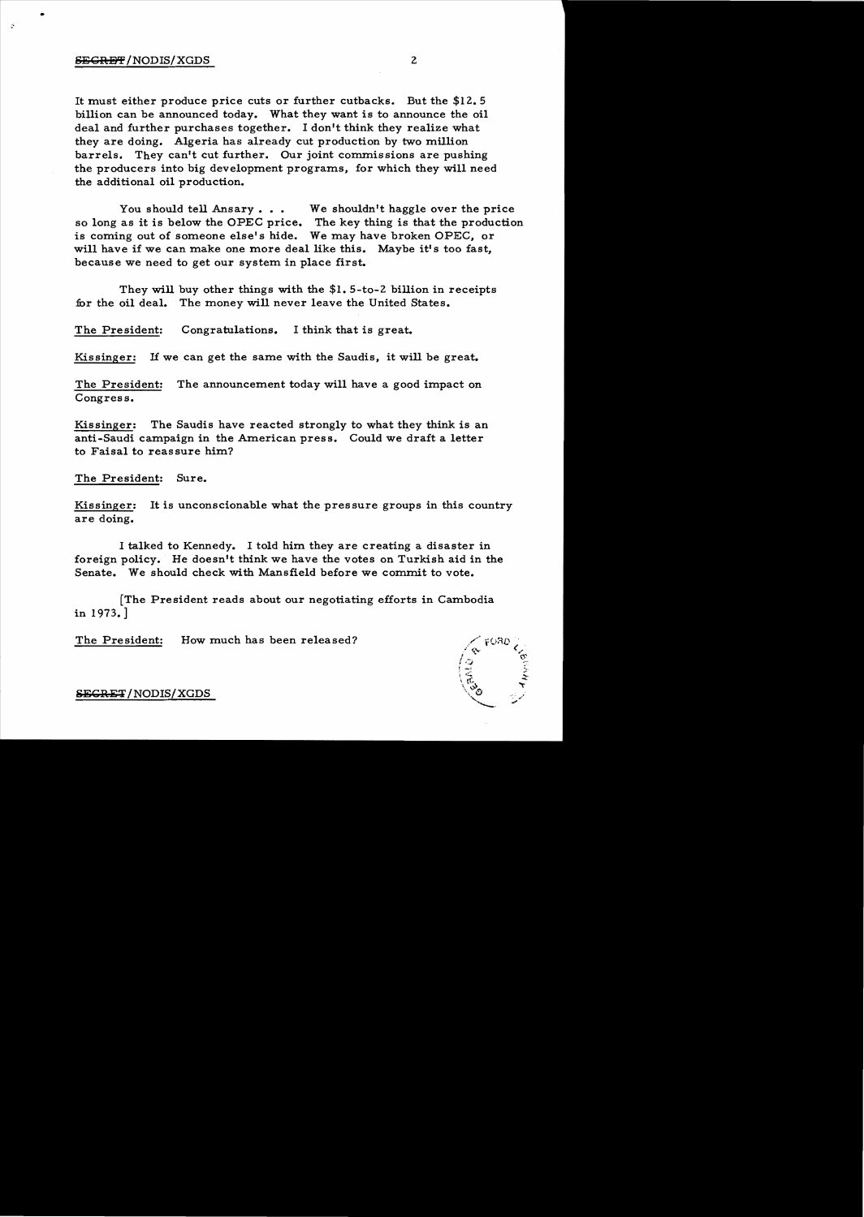# SEGRET/NODIS/XGDS 2

..

It must either produce price cuts or further cutbacks. But the \$12.5 billion can be announced today. What they want is to announce the oil deal and further purchases together. I don't think they realize what they are doing. Algeria has already cut production by two million barrels. They can't cut further. Our joint commissions are pushing the producers into big development programs, for which they will need the additional oil production.

You should tell Ansary  $\ldots$  We shouldn't haggle over the price so long as it is below the OPEC price. The key thing is that the production is coming out of someone else's hide. We may have broken OPEC, or will have if we can make one more deal like this. Maybe it's too fast, because we need to get our system in place first.

They will buy other things with the \$1. 5-to-2 billion in receipts for the oil deal. The money will never leave the United States.

The President: Congratulations. I think that is great.

Kissinger: If we can get the same with the Saudis, it will be great.

The President: The announcement today will have a good impact on Congress.

Kissinger: The Saudis have reacted strongly to what they think is an anti-Saudi campaign in the American press. Could we draft a letter to Faisal to reassure him?

The President: Sure.

Kissinger: It is unconscionable what the pressure groups in this country are doing.

I talked to Kennedy. I told him they are creating a disaster in foreign policy. He doesn't think we have the votes on Turkish aid in the Senate. We should check with Mansfield before we commit to vote.

[The President reads about our negotiating efforts in Cambodia in 1973.]

The President: How much has been released?



S<del>ECRET</del>/NODIS/XGDS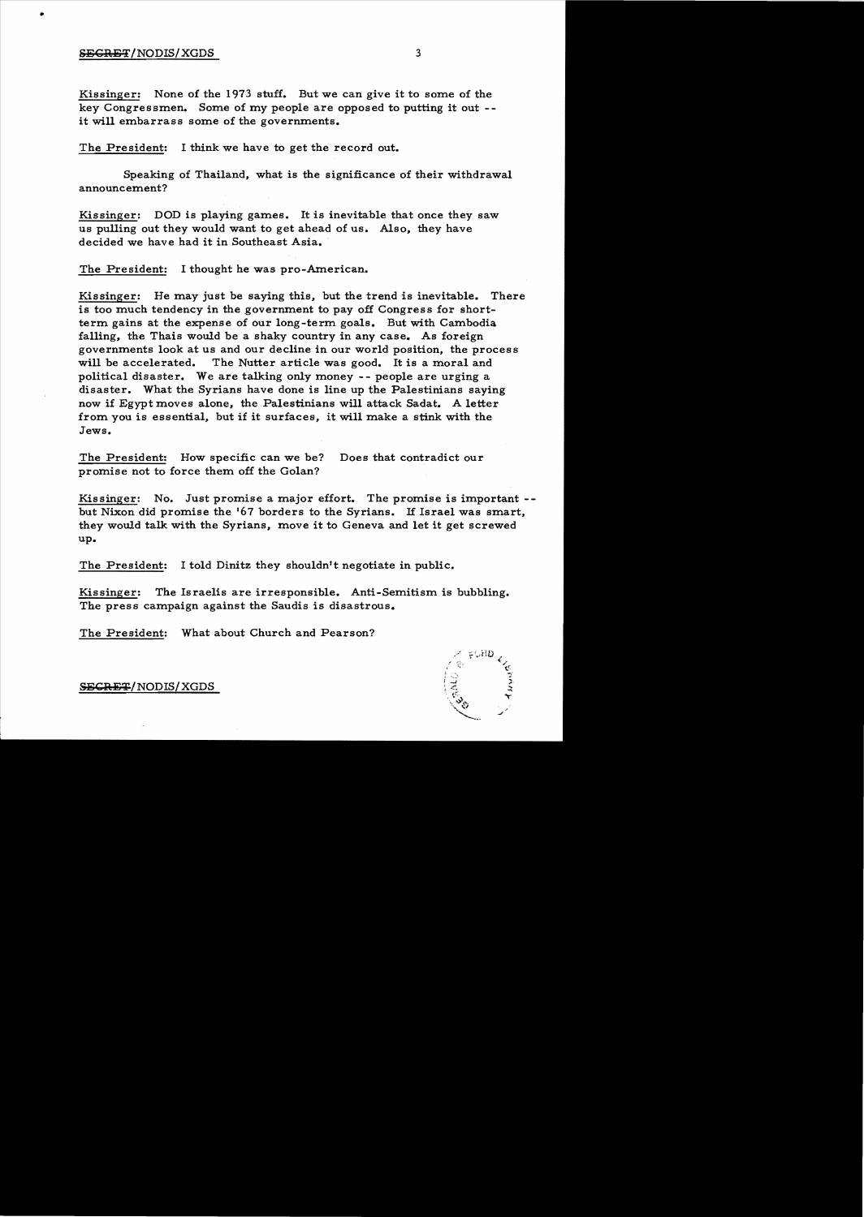### SECRET/NODIS/XGDS 3

..

Kissinger: None of the 1973 stuff. But we can give it to some of the key Congressmen. Some of my people are opposed to putting it out -it will embarrass some of the governments.

The President: I think we have to get the record out.

Speaking of Thailand, what is the significance of their withdrawal announcement?

Kissinger: DOD is playing games. It is inevitable that once they saw us pulling out they would want to get ahead of us. Also, they have decided we have had it in Southeast Asia.

The President: I thought he was pro-American.

Kissinger: He may just be saying this, but the trend is inevitable. There is too much tendency in the government to pay off Congress for shortterm gains at the expense of our long-term goals. But with Cambodia falling, the Thais would be a shaky country in any case. As foreign governments look at us and our decline in our world position, the process will be accelerated. The Nutter article was good. It is a moral and political disaster. We are talking only money -- people are urging a disaster. What the Syrians have done is line up the Palestinians saying now if Egypt moves alone, the Palestinians will attack Sadat. A letter from you is essential, but if it surfaces, it will make a stink with the Jews.

The President: How specific can we be? Does that contradict our promise not to force them off the Golan?

Kissinger: No. Just promise a major effort. The promise is important -but Nixon did promise the '67 borders to the Syrians. If Israel was smart, they would talk with the Syrians, move it to Geneva and let it get screwed up.

The President: I told Dinitz they shouldn't negotiate in public.

Kissinger: The Israelis are irresponsible. Anti-Semitism is bubbling. The press campaign against the Saudis is disastrous.

The President: What about Church and Pearson?



SECRET/NODIS/XGDS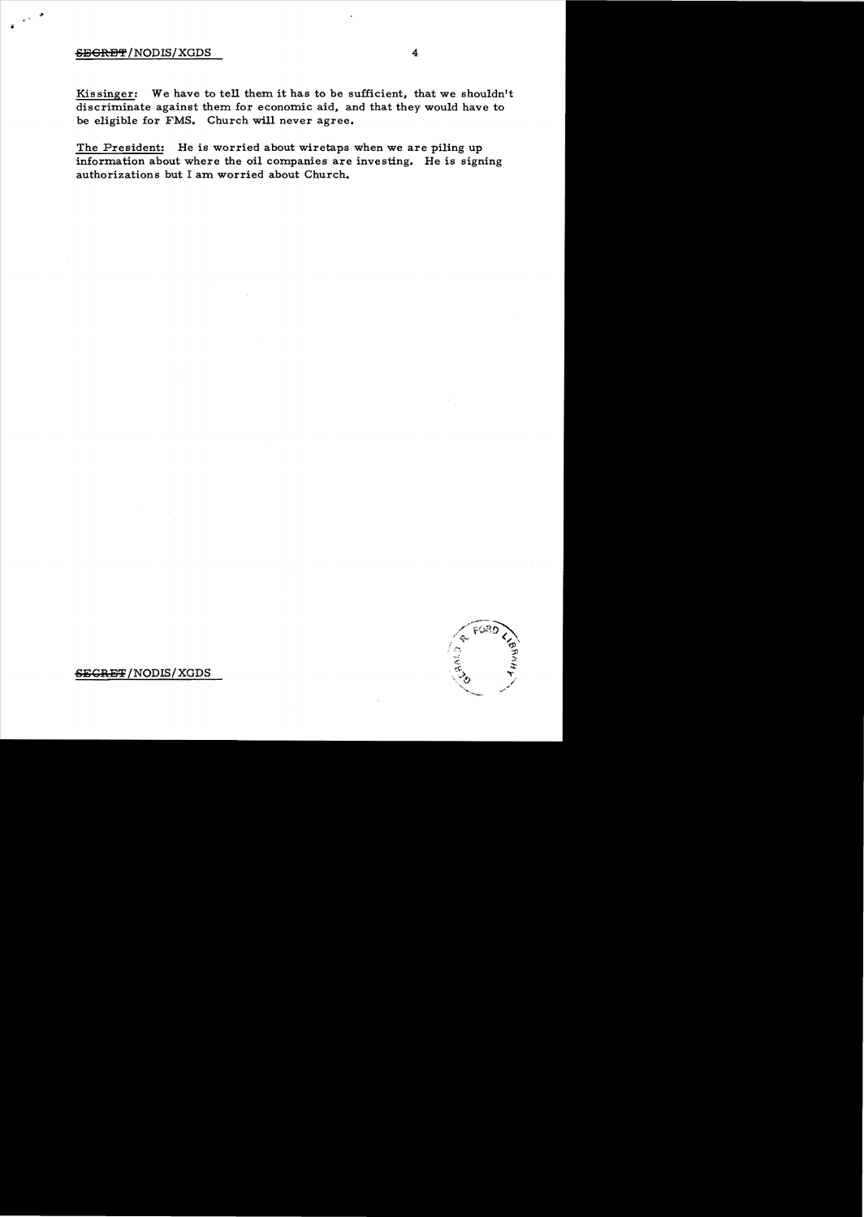## SEGRET/NODIS/XGDS 4

 $\cdot$  .  $\cdot$ 

Kissinger: We have to tell them it has to be sufficient, that we shouldn't discriminate against them for economic aid, and that they would have to be eligible for FMS. Church will never agree.

The President: He is worried about wiretaps when we are piling up information about where the oil companies are investing. He is signing authorizations but I am worried about Church.



SEGRET/NODIS/XGDS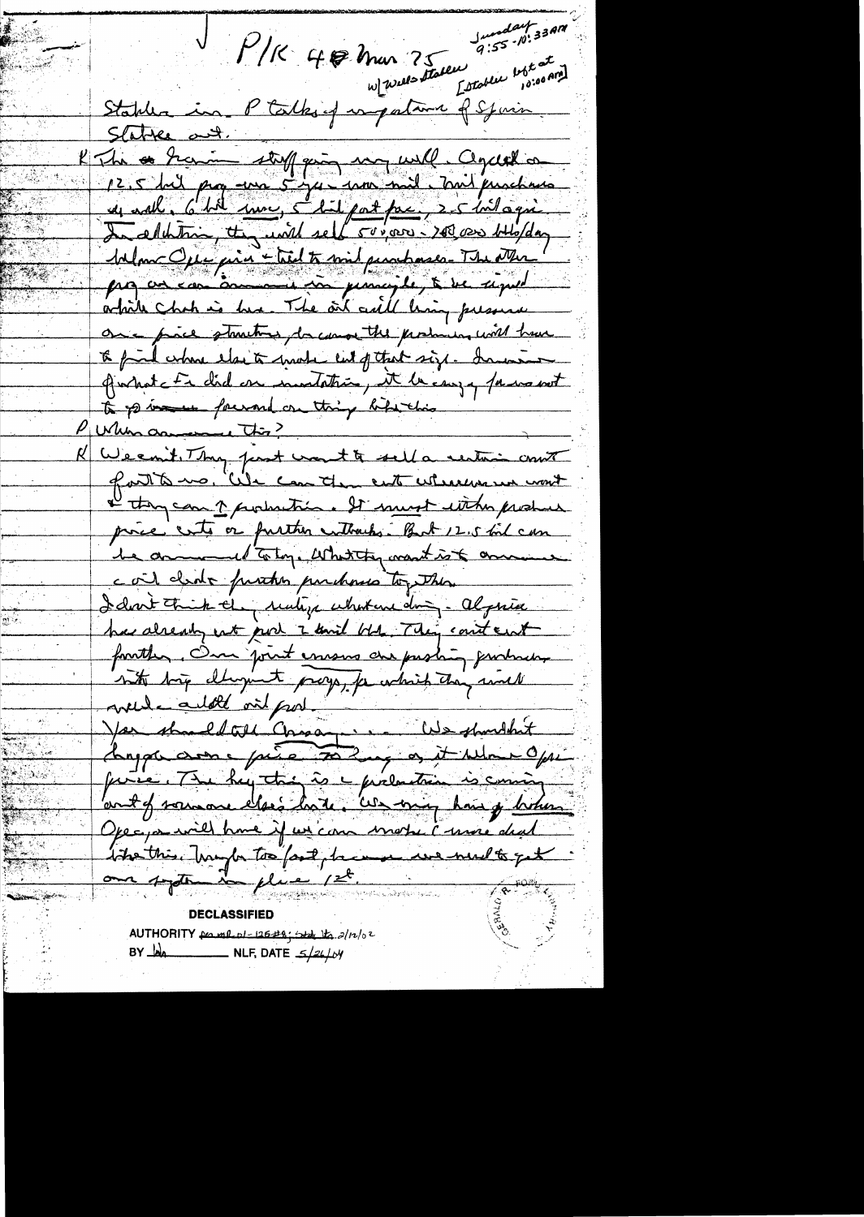Junday 33AM<br>9:55.10:33AM P/K 40 Mar 75 9:53 Stablea in Ptalks of empatament of Spain Statte and. K The a Gracie stuff quin may will cegetal on 125 huit page une 5 juin 1000 mil purchase MlmcQue ains lieut traint punchases-The Nur! arbite chat is his. The oil call ling pressure once piece stantines, because the produces will have to find where else to make cut of that size. In water giornat Er did en montatrie, et la case y para met to point fourand on thing bile this Pullin annemention? K Weemit Thy just won't to sell a restoir court a thy can 1 probation. It must with produce proce ents or further enthanks. But 12.5 toil can be annumed to top. What they want is to convenience cail cleate further purchases together I dont think they realize what are doing. Algeria has already not port 2 unit bbs. They could ent forather. One point essens are probably producers not big dhopint proys, for which they would mede ailett vil produit de shoudhit Angen avec pie 702 apr 11 Novembre prése, The hey this is a prélentier is coming Operparaire de time if un commander à more deal tite this. Transfor too fast, he was we well to get an system in place 1st. THE FORKS AUTHORITY for me of 126#8; state to 2/12/02 BY  $\frac{1}{4}$ 

بمعين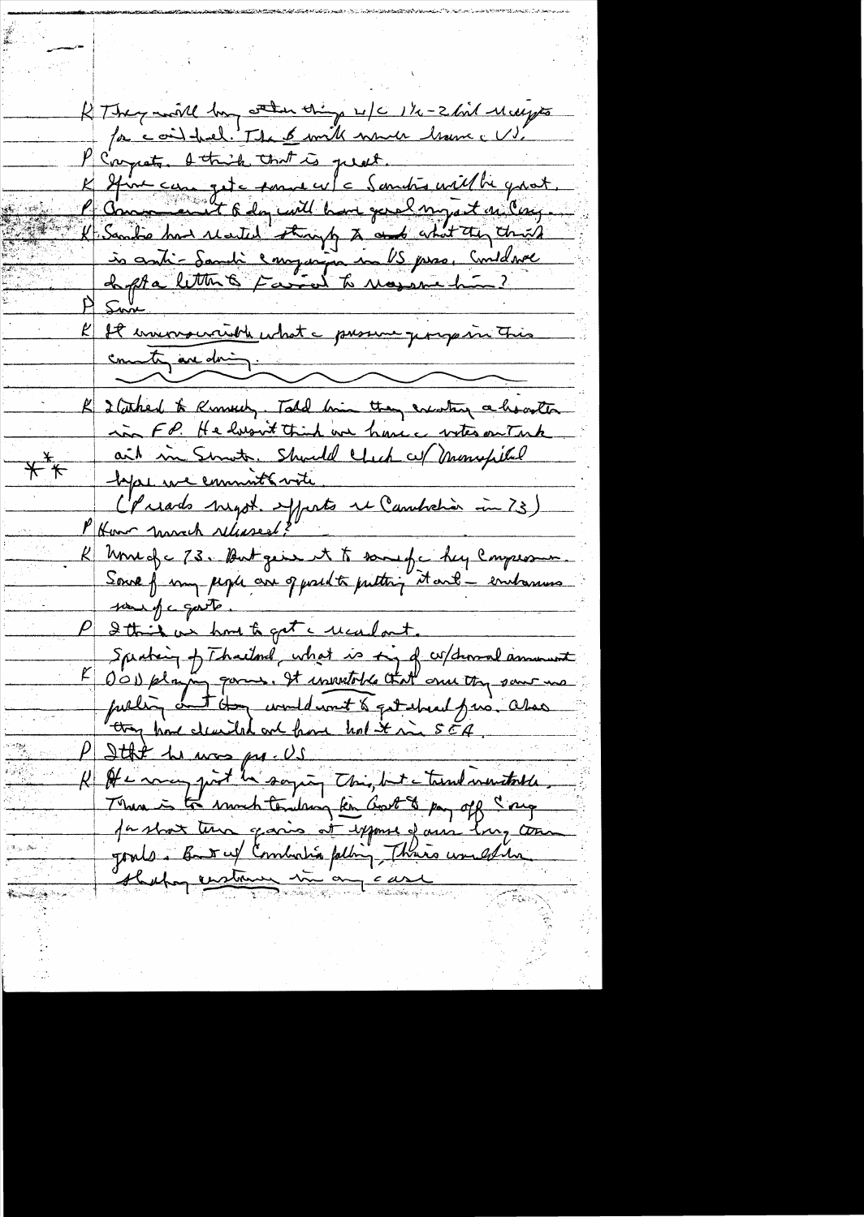RThey moll by when things w/c 1/2-2 kil Melyes for coint freel. The 6 with which have a US. P Compate. I think that is just. K Stine care quite sonne cu/c Sandrs with quot.<br>P Comment 6 day with home genel ony at on large (Sandre how reated strongly to and about they think is anti-Sandi emperin in US pres. Conduce Sun Il inversantible what a prosence porquire This county are doing. K I taked to Knowly. Told him they existing a howster in FP. He husuit think we have votes on Tank ait in Smot, Should Click of Moneyfiled  $K^*$ hype we commit with (Priads night apparts it Cambretier in 73) Une of c 73. But give it to same for hy comprome.<br>Source from people are of predito putting it and a endowners pour of a goot P 2 this as how to get a ucalout. Specting of Thailand, what is to, of w/demand amount E D'OD playing parme. It insuratoire that once they same ma they have clearly and have holt in SEA. Itke he was pre-US K It a way just be saying this, but a trend mentalle, There is to much tendang ken Got & pay off say parlant tena, garis at expose of aus long com Jours. But uf Combata pelling Thais une estiment